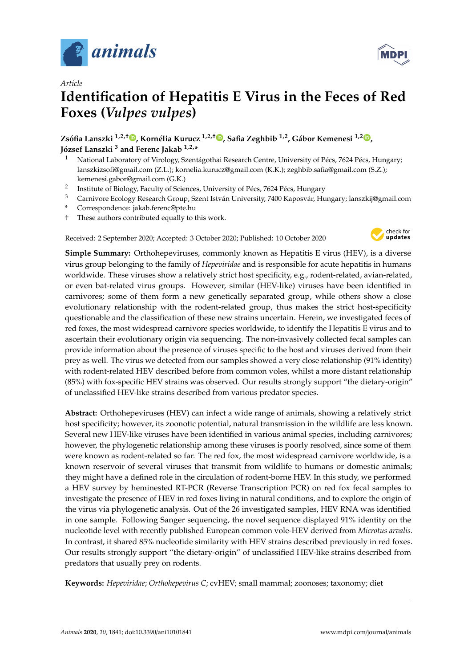

*Article*



# **Identification of Hepatitis E Virus in the Feces of Red Foxes (***Vulpes vulpes***)**

# **Zsófia Lanszki 1,2,**† **[,](https://orcid.org/0000-0003-3116-4633) Kornélia Kurucz 1,2,**† **[,](https://orcid.org/0000-0001-6190-1265) Safia Zeghbib 1,2, Gábor Kemenesi 1,2 [,](https://orcid.org/0000-0001-9775-3065) József Lanszki <sup>3</sup> and Ferenc Jakab 1,2,\***

- <sup>1</sup> National Laboratory of Virology, Szentágothai Research Centre, University of Pécs, 7624 Pécs, Hungary; lanszkizsofi@gmail.com (Z.L.); kornelia.kurucz@gmail.com (K.K.); zeghbib.safia@gmail.com (S.Z.); kemenesi.gabor@gmail.com (G.K.)
- 2 Institute of Biology, Faculty of Sciences, University of Pécs, 7624 Pécs, Hungary
- <sup>3</sup> Carnivore Ecology Research Group, Szent István University, 7400 Kaposvár, Hungary; lanszkij@gmail.com
- **\*** Correspondence: jakab.ferenc@pte.hu
- † These authors contributed equally to this work.

Received: 2 September 2020; Accepted: 3 October 2020; Published: 10 October 2020



**Simple Summary:** Orthohepeviruses, commonly known as Hepatitis E virus (HEV), is a diverse virus group belonging to the family of *Hepeviridae* and is responsible for acute hepatitis in humans worldwide. These viruses show a relatively strict host specificity, e.g., rodent-related, avian-related, or even bat-related virus groups. However, similar (HEV-like) viruses have been identified in carnivores; some of them form a new genetically separated group, while others show a close evolutionary relationship with the rodent-related group, thus makes the strict host-specificity questionable and the classification of these new strains uncertain. Herein, we investigated feces of red foxes, the most widespread carnivore species worldwide, to identify the Hepatitis E virus and to ascertain their evolutionary origin via sequencing. The non-invasively collected fecal samples can provide information about the presence of viruses specific to the host and viruses derived from their prey as well. The virus we detected from our samples showed a very close relationship (91% identity) with rodent-related HEV described before from common voles, whilst a more distant relationship (85%) with fox-specific HEV strains was observed. Our results strongly support "the dietary-origin" of unclassified HEV-like strains described from various predator species.

**Abstract:** Orthohepeviruses (HEV) can infect a wide range of animals, showing a relatively strict host specificity; however, its zoonotic potential, natural transmission in the wildlife are less known. Several new HEV-like viruses have been identified in various animal species, including carnivores; however, the phylogenetic relationship among these viruses is poorly resolved, since some of them were known as rodent-related so far. The red fox, the most widespread carnivore worldwide, is a known reservoir of several viruses that transmit from wildlife to humans or domestic animals; they might have a defined role in the circulation of rodent-borne HEV. In this study, we performed a HEV survey by heminested RT-PCR (Reverse Transcription PCR) on red fox fecal samples to investigate the presence of HEV in red foxes living in natural conditions, and to explore the origin of the virus via phylogenetic analysis. Out of the 26 investigated samples, HEV RNA was identified in one sample. Following Sanger sequencing, the novel sequence displayed 91% identity on the nucleotide level with recently published European common vole-HEV derived from *Microtus arvalis*. In contrast, it shared 85% nucleotide similarity with HEV strains described previously in red foxes. Our results strongly support "the dietary-origin" of unclassified HEV-like strains described from predators that usually prey on rodents.

**Keywords:** *Hepeviridae*; *Orthohepevirus C*; cvHEV; small mammal; zoonoses; taxonomy; diet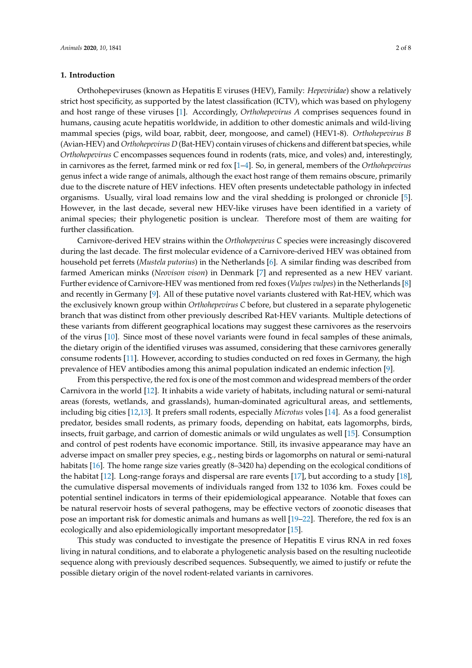# **1. Introduction**

Orthohepeviruses (known as Hepatitis E viruses (HEV), Family: *Hepeviridae*) show a relatively strict host specificity, as supported by the latest classification (ICTV), which was based on phylogeny and host range of these viruses [\[1\]](#page-5-0). Accordingly, *Orthohepevirus A* comprises sequences found in humans, causing acute hepatitis worldwide, in addition to other domestic animals and wild-living mammal species (pigs, wild boar, rabbit, deer, mongoose, and camel) (HEV1-8). *Orthohepevirus B* (Avian-HEV) and *Orthohepevirus D* (Bat-HEV) contain viruses of chickens and different bat species, while *Orthohepevirus C* encompasses sequences found in rodents (rats, mice, and voles) and, interestingly, in carnivores as the ferret, farmed mink or red fox [\[1–](#page-5-0)[4\]](#page-5-1). So, in general, members of the *Orthohepevirus* genus infect a wide range of animals, although the exact host range of them remains obscure, primarily due to the discrete nature of HEV infections. HEV often presents undetectable pathology in infected organisms. Usually, viral load remains low and the viral shedding is prolonged or chronicle [\[5\]](#page-6-0). However, in the last decade, several new HEV-like viruses have been identified in a variety of animal species; their phylogenetic position is unclear. Therefore most of them are waiting for further classification.

Carnivore-derived HEV strains within the *Orthohepevirus C* species were increasingly discovered during the last decade. The first molecular evidence of a Carnivore-derived HEV was obtained from household pet ferrets (*Mustela putorius*) in the Netherlands [\[6\]](#page-6-1). A similar finding was described from farmed American minks (*Neovison vison*) in Denmark [\[7\]](#page-6-2) and represented as a new HEV variant. Further evidence of Carnivore-HEV was mentioned from red foxes (*Vulpes vulpes*) in the Netherlands [\[8\]](#page-6-3) and recently in Germany [\[9\]](#page-6-4). All of these putative novel variants clustered with Rat-HEV, which was the exclusively known group within *Orthohepevirus C* before, but clustered in a separate phylogenetic branch that was distinct from other previously described Rat-HEV variants. Multiple detections of these variants from different geographical locations may suggest these carnivores as the reservoirs of the virus [\[10\]](#page-6-5). Since most of these novel variants were found in fecal samples of these animals, the dietary origin of the identified viruses was assumed, considering that these carnivores generally consume rodents [\[11\]](#page-6-6). However, according to studies conducted on red foxes in Germany, the high prevalence of HEV antibodies among this animal population indicated an endemic infection [\[9\]](#page-6-4).

From this perspective, the red fox is one of the most common and widespread members of the order Carnivora in the world [\[12\]](#page-6-7). It inhabits a wide variety of habitats, including natural or semi-natural areas (forests, wetlands, and grasslands), human-dominated agricultural areas, and settlements, including big cities [\[12](#page-6-7)[,13\]](#page-6-8). It prefers small rodents, especially *Microtus* voles [\[14\]](#page-6-9). As a food generalist predator, besides small rodents, as primary foods, depending on habitat, eats lagomorphs, birds, insects, fruit garbage, and carrion of domestic animals or wild ungulates as well [\[15\]](#page-6-10). Consumption and control of pest rodents have economic importance. Still, its invasive appearance may have an adverse impact on smaller prey species, e.g., nesting birds or lagomorphs on natural or semi-natural habitats [\[16\]](#page-6-11). The home range size varies greatly (8–3420 ha) depending on the ecological conditions of the habitat [\[12\]](#page-6-7). Long-range forays and dispersal are rare events [\[17\]](#page-6-12), but according to a study [\[18\]](#page-6-13), the cumulative dispersal movements of individuals ranged from 132 to 1036 km. Foxes could be potential sentinel indicators in terms of their epidemiological appearance. Notable that foxes can be natural reservoir hosts of several pathogens, may be effective vectors of zoonotic diseases that pose an important risk for domestic animals and humans as well [\[19–](#page-6-14)[22\]](#page-6-15). Therefore, the red fox is an ecologically and also epidemiologically important mesopredator [\[15\]](#page-6-10).

This study was conducted to investigate the presence of Hepatitis E virus RNA in red foxes living in natural conditions, and to elaborate a phylogenetic analysis based on the resulting nucleotide sequence along with previously described sequences. Subsequently, we aimed to justify or refute the possible dietary origin of the novel rodent-related variants in carnivores.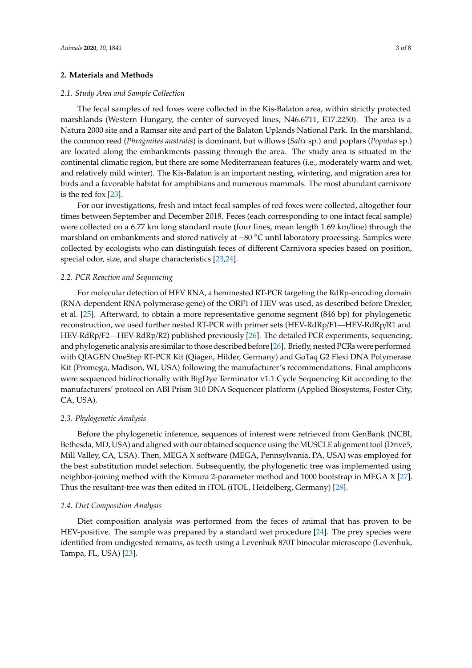# **2. Materials and Methods**

# *2.1. Study Area and Sample Collection*

The fecal samples of red foxes were collected in the Kis-Balaton area, within strictly protected marshlands (Western Hungary, the center of surveyed lines, N46.6711, E17.2250). The area is a Natura 2000 site and a Ramsar site and part of the Balaton Uplands National Park. In the marshland, the common reed (*Phragmites australis*) is dominant, but willows (*Salix* sp.) and poplars (*Populus* sp.) are located along the embankments passing through the area. The study area is situated in the continental climatic region, but there are some Mediterranean features (i.e., moderately warm and wet, and relatively mild winter). The Kis-Balaton is an important nesting, wintering, and migration area for birds and a favorable habitat for amphibians and numerous mammals. The most abundant carnivore is the red fox [\[23\]](#page-6-16).

For our investigations, fresh and intact fecal samples of red foxes were collected, altogether four times between September and December 2018. Feces (each corresponding to one intact fecal sample) were collected on a 6.77 km long standard route (four lines, mean length 1.69 km/line) through the marshland on embankments and stored natively at −80 °C until laboratory processing. Samples were collected by ecologists who can distinguish feces of different Carnivora species based on position, special odor, size, and shape characteristics [\[23,](#page-6-16)[24\]](#page-6-17).

#### *2.2. PCR Reaction and Sequencing*

For molecular detection of HEV RNA, a heminested RT-PCR targeting the RdRp-encoding domain (RNA-dependent RNA polymerase gene) of the ORF1 of HEV was used, as described before Drexler, et al. [\[25\]](#page-6-18). Afterward, to obtain a more representative genome segment (846 bp) for phylogenetic reconstruction, we used further nested RT-PCR with primer sets (HEV-RdRp/F1—HEV-RdRp/R1 and HEV-RdRp/F2—HEV-RdRp/R2) published previously [\[26\]](#page-6-19). The detailed PCR experiments, sequencing, and phylogenetic analysis are similar to those described before [\[26\]](#page-6-19). Briefly, nested PCRs were performed with QIAGEN OneStep RT-PCR Kit (Qiagen, Hilder, Germany) and GoTaq G2 Flexi DNA Polymerase Kit (Promega, Madison, WI, USA) following the manufacturer's recommendations. Final amplicons were sequenced bidirectionally with BigDye Terminator v1.1 Cycle Sequencing Kit according to the manufacturers' protocol on ABI Prism 310 DNA Sequencer platform (Applied Biosystems, Foster City, CA, USA).

#### *2.3. Phylogenetic Analysis*

Before the phylogenetic inference, sequences of interest were retrieved from GenBank (NCBI, Bethesda, MD, USA) and aligned with our obtained sequence using the MUSCLE alignment tool (Drive5, Mill Valley, CA, USA). Then, MEGA X software (MEGA, Pennsylvania, PA, USA) was employed for the best substitution model selection. Subsequently, the phylogenetic tree was implemented using neighbor-joining method with the Kimura 2-parameter method and 1000 bootstrap in MEGA X [\[27\]](#page-6-20). Thus the resultant-tree was then edited in iTOL (iTOL, Heidelberg, Germany) [\[28\]](#page-6-21).

# *2.4. Diet Composition Analysis*

Diet composition analysis was performed from the feces of animal that has proven to be HEV-positive. The sample was prepared by a standard wet procedure [\[24\]](#page-6-17). The prey species were identified from undigested remains, as teeth using a Levenhuk 870T binocular microscope (Levenhuk, Tampa, FL, USA) [\[23\]](#page-6-16).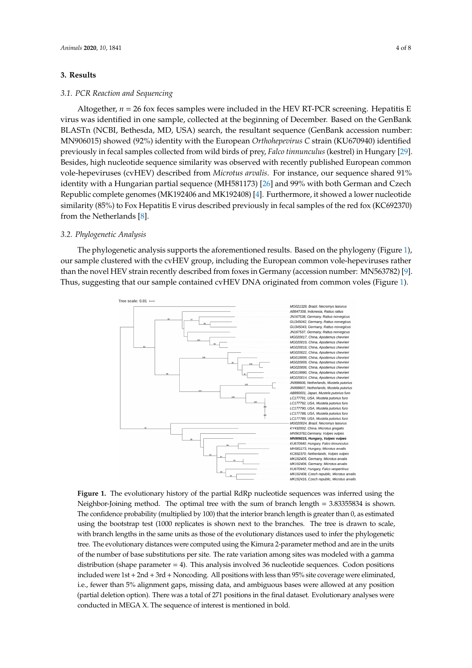# **3. Results**

# *3.1. PCR Reaction and Sequencing*

Altogether,  $n = 26$  fox feces samples were included in the HEV RT-PCR screening. Hepatitis E virus was identified in one sample, collected at the beginning of December. Based on the GenBank BLASTn (NCBI, Bethesda, MD, USA) search, the resultant sequence (GenBank accession number: MN906015) showed (92%) identity with the European *Orthohepevirus C* strain (KU670940) identified previously in fecal samples collected from wild birds of prey*, Falco tinnunculus* (kestrel) in Hungary [\[29\]](#page-7-0). Besides, high nucleotide sequence similarity was observed with recently published European common vole-hepeviruses (cvHEV) described from *Microtus arvalis*. For instance, our sequence shared 91% identity with a Hungarian partial sequence (MH581173) [\[26\]](#page-6-19) and 99% with both German and Czech Republic complete genomes (MK192406 and MK192408) [\[4\]](#page-5-1). Furthermore, it showed a lower nucleotide inilarity (85%) to Fox Hepatitis E virus described previously in fecal samples of the red fox (KC692370) from the Netherlands  $[8]$ . ases (CVTIEV) described from *IVIICTOHIS aroans*. For instance, our sequence ship to Pox Fiepatitis E Virus described previously in fecal samples of the fed fox/

# 3.2. Phylogenetic Analysis

The phylogenetic analysis supports the aforementioned results. Based on the phylogeny (Figure [1\)](#page-3-0), *3.2. Phylogenetic Analysis*  our sample clustered with the cvHEV group, including the European common vole-hepeviruses rather than the novel HEV strain recently described from foxes in Germany (accession number: MN563782) [\[9\]](#page-6-4). Thus, suggesting that our sample contained cvHEV DNA originated from common voles (Figure [1\)](#page-3-0). rather strain recently described from foxes in Germany (accession number: 1911

<span id="page-3-0"></span>

**Figure 1.** The evolutionary history of the partial RdRp nucleotide sequences was inferred using the **Figure 1.** The evolutionary history of the partial RdRp nucleotide sequences was inferred using the  $N_{\rm eff}$  , the optimal tree with the sum of  $\frac{1}{3}$  is shown. The sum of  $\frac{1}{3}$  is shown. The sum of  $\frac{1}{3}$ Neighbor-Joining method. The optimal tree with the sum of branch length = 3.83355834 is shown. The confidence probability (multiplied by 100) that the interior branch length is greater than 0, as estimated using the bootstrap test (1000 replicates is shown next to the branches. The tree is drawn to scale, phylogenetic tree. The evolutionary distances were computed using the Kimura 2-parameter method with branch lengths in the same units as those of the evolutionary distances used to infer the phylogenetic tree. The evolutionary distances were computed using the Kimura 2-parameter method and are in the units of the number of base substitutions per site. The rate variation among sites was modeled with a gamma  $\mathcal{P}$  site coverage were than  $\mathcal{P}$  alignment gaps, missing data, and and ambiguous data, and ambiguous data, and and ambiguous data, and ambiguous data, and and ambiguous data, and ambiguous data, and ambiguous dat distribution (shape parameter = 4). This analysis involved 36 nucleotide sequences. Codon positions included were 1st + 2nd + 3rd + Noncoding. All positions with less than 95% site coverage were eliminated, i.e., fewer than 5% alignment gaps, missing data, and ambiguous bases were allowed at any position (partial deletion option). There was a total of 271 positions in the final dataset. Evolutionary analyses were conducted in MEGA X. The sequence of interest is mentioned in bold.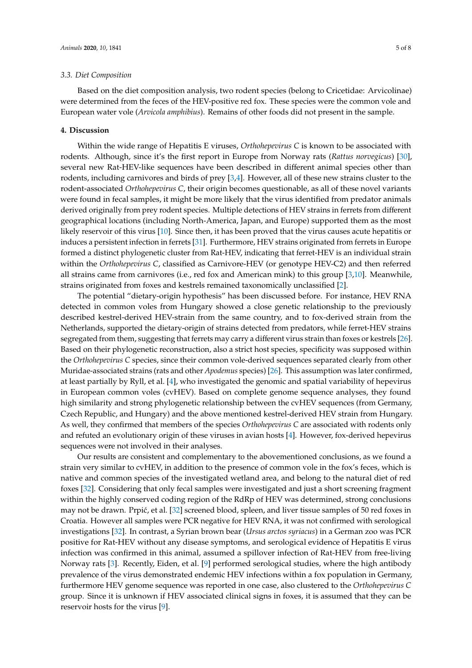### *3.3. Diet Composition*

Based on the diet composition analysis, two rodent species (belong to Cricetidae: Arvicolinae) were determined from the feces of the HEV-positive red fox. These species were the common vole and European water vole (*Arvicola amphibius*). Remains of other foods did not present in the sample.

#### **4. Discussion**

Within the wide range of Hepatitis E viruses, *Orthohepevirus C* is known to be associated with rodents. Although, since it's the first report in Europe from Norway rats (*Rattus norvegicus*) [\[30\]](#page-7-1), several new Rat-HEV-like sequences have been described in different animal species other than rodents, including carnivores and birds of prey [\[3,](#page-5-2)[4\]](#page-5-1). However, all of these new strains cluster to the rodent-associated *Orthohepevirus C*, their origin becomes questionable, as all of these novel variants were found in fecal samples, it might be more likely that the virus identified from predator animals derived originally from prey rodent species. Multiple detections of HEV strains in ferrets from different geographical locations (including North-America, Japan, and Europe) supported them as the most likely reservoir of this virus [\[10\]](#page-6-5). Since then, it has been proved that the virus causes acute hepatitis or induces a persistent infection in ferrets [\[31\]](#page-7-2). Furthermore, HEV strains originated from ferrets in Europe formed a distinct phylogenetic cluster from Rat-HEV, indicating that ferret-HEV is an individual strain within the *Orthohepevirus C*, classified as Carnivore-HEV (or genotype HEV-C2) and then referred all strains came from carnivores (i.e., red fox and American mink) to this group [\[3](#page-5-2)[,10\]](#page-6-5). Meanwhile, strains originated from foxes and kestrels remained taxonomically unclassified [\[2\]](#page-5-3).

The potential "dietary-origin hypothesis" has been discussed before. For instance, HEV RNA detected in common voles from Hungary showed a close genetic relationship to the previously described kestrel-derived HEV-strain from the same country, and to fox-derived strain from the Netherlands, supported the dietary-origin of strains detected from predators, while ferret-HEV strains segregated from them, suggesting that ferrets may carry a different virus strain than foxes or kestrels [\[26\]](#page-6-19). Based on their phylogenetic reconstruction, also a strict host species, specificity was supposed within the *Orthohepevirus C* species, since their common vole-derived sequences separated clearly from other Muridae-associated strains (rats and other *Apodemus* species) [\[26\]](#page-6-19). This assumption was later confirmed, at least partially by Ryll, et al. [\[4\]](#page-5-1), who investigated the genomic and spatial variability of hepevirus in European common voles (cvHEV). Based on complete genome sequence analyses, they found high similarity and strong phylogenetic relationship between the cvHEV sequences (from Germany, Czech Republic, and Hungary) and the above mentioned kestrel-derived HEV strain from Hungary. As well, they confirmed that members of the species *Orthohepevirus C* are associated with rodents only and refuted an evolutionary origin of these viruses in avian hosts [\[4\]](#page-5-1). However, fox-derived hepevirus sequences were not involved in their analyses.

Our results are consistent and complementary to the abovementioned conclusions, as we found a strain very similar to cvHEV, in addition to the presence of common vole in the fox's feces, which is native and common species of the investigated wetland area, and belong to the natural diet of red foxes [\[32\]](#page-7-3). Considering that only fecal samples were investigated and just a short screening fragment within the highly conserved coding region of the RdRp of HEV was determined, strong conclusions may not be drawn. Prpić, et al. [\[32\]](#page-7-3) screened blood, spleen, and liver tissue samples of 50 red foxes in Croatia. However all samples were PCR negative for HEV RNA, it was not confirmed with serological investigations [\[32\]](#page-7-3). In contrast, a Syrian brown bear (*Ursus arctos syriacus*) in a German zoo was PCR positive for Rat-HEV without any disease symptoms, and serological evidence of Hepatitis E virus infection was confirmed in this animal, assumed a spillover infection of Rat-HEV from free-living Norway rats [\[3\]](#page-5-2). Recently, Eiden, et al. [\[9\]](#page-6-4) performed serological studies, where the high antibody prevalence of the virus demonstrated endemic HEV infections within a fox population in Germany, furthermore HEV genome sequence was reported in one case, also clustered to the *Orthohepevirus C* group. Since it is unknown if HEV associated clinical signs in foxes, it is assumed that they can be reservoir hosts for the virus [\[9\]](#page-6-4).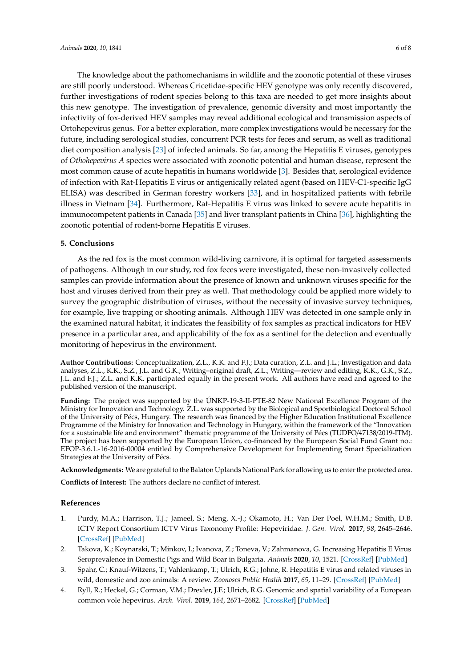The knowledge about the pathomechanisms in wildlife and the zoonotic potential of these viruses are still poorly understood. Whereas Cricetidae-specific HEV genotype was only recently discovered, further investigations of rodent species belong to this taxa are needed to get more insights about this new genotype. The investigation of prevalence, genomic diversity and most importantly the infectivity of fox-derived HEV samples may reveal additional ecological and transmission aspects of Ortohepevirus genus. For a better exploration, more complex investigations would be necessary for the future, including serological studies, concurrent PCR tests for feces and serum, as well as traditional diet composition analysis [\[23\]](#page-6-16) of infected animals. So far, among the Hepatitis E viruses, genotypes of *Othohepevirus A* species were associated with zoonotic potential and human disease, represent the most common cause of acute hepatitis in humans worldwide [\[3\]](#page-5-2). Besides that, serological evidence of infection with Rat-Hepatitis E virus or antigenically related agent (based on HEV-C1-specific IgG ELISA) was described in German forestry workers [\[33\]](#page-7-4), and in hospitalized patients with febrile illness in Vietnam [\[34\]](#page-7-5). Furthermore, Rat-Hepatitis E virus was linked to severe acute hepatitis in immunocompetent patients in Canada [\[35\]](#page-7-6) and liver transplant patients in China [\[36\]](#page-7-7), highlighting the zoonotic potential of rodent-borne Hepatitis E viruses.

### **5. Conclusions**

As the red fox is the most common wild-living carnivore, it is optimal for targeted assessments of pathogens. Although in our study, red fox feces were investigated, these non-invasively collected samples can provide information about the presence of known and unknown viruses specific for the host and viruses derived from their prey as well. That methodology could be applied more widely to survey the geographic distribution of viruses, without the necessity of invasive survey techniques, for example, live trapping or shooting animals. Although HEV was detected in one sample only in the examined natural habitat, it indicates the feasibility of fox samples as practical indicators for HEV presence in a particular area, and applicability of the fox as a sentinel for the detection and eventually monitoring of hepevirus in the environment.

**Author Contributions:** Conceptualization, Z.L., K.K. and F.J.; Data curation, Z.L. and J.L.; Investigation and data analyses, Z.L., K.K., S.Z., J.L. and G.K.; Writing–original draft, Z.L.; Writing—review and editing, K.K., G.K., S.Z., J.L. and F.J.; Z.L. and K.K. participated equally in the present work. All authors have read and agreed to the published version of the manuscript.

**Funding:** The project was supported by the ÚNKP-19-3-II-PTE-82 New National Excellence Program of the Ministry for Innovation and Technology. Z.L. was supported by the Biological and Sportbiological Doctoral School of the University of Pécs, Hungary. The research was financed by the Higher Education Institutional Excellence Programme of the Ministry for Innovation and Technology in Hungary, within the framework of the "Innovation for a sustainable life and environment" thematic programme of the University of Pécs (TUDFO/47138/2019-ITM). The project has been supported by the European Union, co-financed by the European Social Fund Grant no.: EFOP-3.6.1.-16-2016-00004 entitled by Comprehensive Development for Implementing Smart Specialization Strategies at the University of Pécs.

**Acknowledgments:** We are grateful to the Balaton Uplands National Park for allowing us to enter the protected area.

**Conflicts of Interest:** The authors declare no conflict of interest.

### **References**

- <span id="page-5-0"></span>1. Purdy, M.A.; Harrison, T.J.; Jameel, S.; Meng, X.-J.; Okamoto, H.; Van Der Poel, W.H.M.; Smith, D.B. ICTV Report Consortium ICTV Virus Taxonomy Profile: Hepeviridae. *J. Gen. Virol.* **2017**, *98*, 2645–2646. [\[CrossRef\]](http://dx.doi.org/10.1099/jgv.0.000940) [\[PubMed\]](http://www.ncbi.nlm.nih.gov/pubmed/29022866)
- <span id="page-5-3"></span>2. Takova, K.; Koynarski, T.; Minkov, I.; Ivanova, Z.; Toneva, V.; Zahmanova, G. Increasing Hepatitis E Virus Seroprevalence in Domestic Pigs and Wild Boar in Bulgaria. *Animals* **2020**, *10*, 1521. [\[CrossRef\]](http://dx.doi.org/10.3390/ani10091521) [\[PubMed\]](http://www.ncbi.nlm.nih.gov/pubmed/32872096)
- <span id="page-5-2"></span>3. Spahr, C.; Knauf-Witzens, T.; Vahlenkamp, T.; Ulrich, R.G.; Johne, R. Hepatitis E virus and related viruses in wild, domestic and zoo animals: A review. *Zoonoses Public Health* **2017**, *65*, 11–29. [\[CrossRef\]](http://dx.doi.org/10.1111/zph.12405) [\[PubMed\]](http://www.ncbi.nlm.nih.gov/pubmed/28944602)
- <span id="page-5-1"></span>4. Ryll, R.; Heckel, G.; Corman, V.M.; Drexler, J.F.; Ulrich, R.G. Genomic and spatial variability of a European common vole hepevirus. *Arch. Virol.* **2019**, *164*, 2671–2682. [\[CrossRef\]](http://dx.doi.org/10.1007/s00705-019-04347-1) [\[PubMed\]](http://www.ncbi.nlm.nih.gov/pubmed/31399875)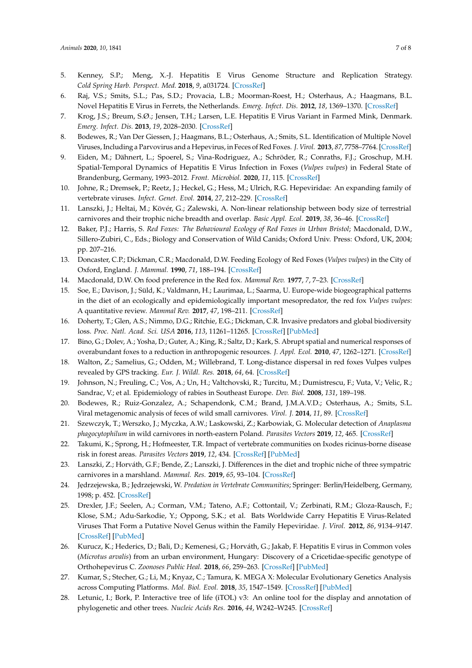- <span id="page-6-0"></span>5. Kenney, S.P.; Meng, X.-J. Hepatitis E Virus Genome Structure and Replication Strategy. *Cold Spring Harb. Perspect. Med.* **2018**, *9*, a031724. [\[CrossRef\]](http://dx.doi.org/10.1101/cshperspect.a031724)
- <span id="page-6-1"></span>6. Raj, V.S.; Smits, S.L.; Pas, S.D.; Provacia, L.B.; Moorman-Roest, H.; Osterhaus, A.; Haagmans, B.L. Novel Hepatitis E Virus in Ferrets, the Netherlands. *Emerg. Infect. Dis.* **2012**, *18*, 1369–1370. [\[CrossRef\]](http://dx.doi.org/10.3201/eid1808.111659)
- <span id="page-6-2"></span>7. Krog, J.S.; Breum, S.Ø.; Jensen, T.H.; Larsen, L.E. Hepatitis E Virus Variant in Farmed Mink, Denmark. *Emerg. Infect. Dis.* **2013**, *19*, 2028–2030. [\[CrossRef\]](http://dx.doi.org/10.3201/eid1912.130614)
- <span id="page-6-3"></span>8. Bodewes, R.; Van Der Giessen, J.; Haagmans, B.L.; Osterhaus, A.; Smits, S.L. Identification of Multiple Novel Viruses, Including a Parvovirus and a Hepevirus, in Feces of Red Foxes. *J. Virol.* **2013**, *87*, 7758–7764. [\[CrossRef\]](http://dx.doi.org/10.1128/JVI.00568-13)
- <span id="page-6-4"></span>9. Eiden, M.; Dähnert, L.; Spoerel, S.; Vina-Rodriguez, A.; Schröder, R.; Conraths, F.J.; Groschup, M.H. Spatial-Temporal Dynamics of Hepatitis E Virus Infection in Foxes (*Vulpes vulpes*) in Federal State of Brandenburg, Germany, 1993–2012. *Front. Microbiol.* **2020**, *11*, 115. [\[CrossRef\]](http://dx.doi.org/10.3389/fmicb.2020.00115)
- <span id="page-6-5"></span>10. Johne, R.; Dremsek, P.; Reetz, J.; Heckel, G.; Hess, M.; Ulrich, R.G. Hepeviridae: An expanding family of vertebrate viruses. *Infect. Genet. Evol.* **2014**, *27*, 212–229. [\[CrossRef\]](http://dx.doi.org/10.1016/j.meegid.2014.06.024)
- <span id="page-6-6"></span>11. Lanszki, J.; Heltai, M.; Kövér, G.; Zalewski, A. Non-linear relationship between body size of terrestrial carnivores and their trophic niche breadth and overlap. *Basic Appl. Ecol.* **2019**, *38*, 36–46. [\[CrossRef\]](http://dx.doi.org/10.1016/j.baae.2019.06.004)
- <span id="page-6-7"></span>12. Baker, P.J.; Harris, S. *Red Foxes: The Behavioural Ecology of Red Foxes in Urban Bristol*; Macdonald, D.W., Sillero-Zubiri, C., Eds.; Biology and Conservation of Wild Canids; Oxford Univ. Press: Oxford, UK, 2004; pp. 207–216.
- <span id="page-6-8"></span>13. Doncaster, C.P.; Dickman, C.R.; Macdonald, D.W. Feeding Ecology of Red Foxes (*Vulpes vulpes*) in the City of Oxford, England. *J. Mammal.* **1990**, *71*, 188–194. [\[CrossRef\]](http://dx.doi.org/10.2307/1382166)
- <span id="page-6-10"></span><span id="page-6-9"></span>14. Macdonald, D.W. On food preference in the Red fox. *Mammal Rev.* **1977**, *7*, 7–23. [\[CrossRef\]](http://dx.doi.org/10.1111/j.1365-2907.1977.tb00359.x)
- 15. Soe, E.; Davison, J.; Süld, K.; Valdmann, H.; Laurimaa, L.; Saarma, U. Europe-wide biogeographical patterns in the diet of an ecologically and epidemiologically important mesopredator, the red fox *Vulpes vulpes*: A quantitative review. *Mammal Rev.* **2017**, *47*, 198–211. [\[CrossRef\]](http://dx.doi.org/10.1111/mam.12092)
- <span id="page-6-11"></span>16. Doherty, T.; Glen, A.S.; Nimmo, D.G.; Ritchie, E.G.; Dickman, C.R. Invasive predators and global biodiversity loss. *Proc. Natl. Acad. Sci. USA* **2016**, *113*, 11261–11265. [\[CrossRef\]](http://dx.doi.org/10.1073/pnas.1602480113) [\[PubMed\]](http://www.ncbi.nlm.nih.gov/pubmed/27638204)
- <span id="page-6-12"></span>17. Bino, G.; Dolev, A.; Yosha, D.; Guter, A.; King, R.; Saltz, D.; Kark, S. Abrupt spatial and numerical responses of overabundant foxes to a reduction in anthropogenic resources. *J. Appl. Ecol.* **2010**, *47*, 1262–1271. [\[CrossRef\]](http://dx.doi.org/10.1111/j.1365-2664.2010.01882.x)
- <span id="page-6-13"></span>18. Walton, Z.; Samelius, G.; Odden, M.; Willebrand, T. Long-distance dispersal in red foxes Vulpes vulpes revealed by GPS tracking. *Eur. J. Wildl. Res.* **2018**, *64*, 64. [\[CrossRef\]](http://dx.doi.org/10.1007/s10344-018-1223-9)
- <span id="page-6-14"></span>19. Johnson, N.; Freuling, C.; Vos, A.; Un, H.; Valtchovski, R.; Turcitu, M.; Dumistrescu, F.; Vuta, V.; Velic, R.; Sandrac, V.; et al. Epidemiology of rabies in Southeast Europe. *Dev. Biol.* **2008**, *131*, 189–198.
- 20. Bodewes, R.; Ruiz-Gonzalez, A.; Schapendonk, C.M.; Brand, J.M.A.V.D.; Osterhaus, A.; Smits, S.L. Viral metagenomic analysis of feces of wild small carnivores. *Virol. J.* **2014**, *11*, 89. [\[CrossRef\]](http://dx.doi.org/10.1186/1743-422X-11-89)
- 21. Szewczyk, T.; Werszko, J.; Myczka, A.W.; Laskowski, Z.; Karbowiak, G. Molecular detection of *Anaplasma phagocytophilum* in wild carnivores in north-eastern Poland. *Parasites Vectors* **2019**, *12*, 465. [\[CrossRef\]](http://dx.doi.org/10.1186/s13071-019-3734-y)
- <span id="page-6-15"></span>22. Takumi, K.; Sprong, H.; Hofmeester, T.R. Impact of vertebrate communities on Ixodes ricinus-borne disease risk in forest areas. *Parasites Vectors* **2019**, *12*, 434. [\[CrossRef\]](http://dx.doi.org/10.1186/s13071-019-3700-8) [\[PubMed\]](http://www.ncbi.nlm.nih.gov/pubmed/31492171)
- <span id="page-6-16"></span>23. Lanszki, Z.; Horváth, G.F.; Bende, Z.; Lanszki, J. Differences in the diet and trophic niche of three sympatric carnivores in a marshland. *Mammal. Res.* **2019**, *65*, 93–104. [\[CrossRef\]](http://dx.doi.org/10.1007/s13364-019-00456-z)
- <span id="page-6-17"></span>24. Jedrzejewska, B.; Jedrzejewski, W. *Predation in Vertebrate Communities*; Springer: Berlin/Heidelberg, Germany, 1998; p. 452. [\[CrossRef\]](http://dx.doi.org/10.1007/978-3-662-35364-6)
- <span id="page-6-18"></span>25. Drexler, J.F.; Seelen, A.; Corman, V.M.; Tateno, A.F.; Cottontail, V.; Zerbinati, R.M.; Gloza-Rausch, F.; Klose, S.M.; Adu-Sarkodie, Y.; Oppong, S.K.; et al. Bats Worldwide Carry Hepatitis E Virus-Related Viruses That Form a Putative Novel Genus within the Family Hepeviridae. *J. Virol.* **2012**, *86*, 9134–9147. [\[CrossRef\]](http://dx.doi.org/10.1128/JVI.00800-12) [\[PubMed\]](http://www.ncbi.nlm.nih.gov/pubmed/22696648)
- <span id="page-6-19"></span>26. Kurucz, K.; Hederics, D.; Bali, D.; Kemenesi, G.; Horváth, G.; Jakab, F. Hepatitis E virus in Common voles (*Microtus arvalis*) from an urban environment, Hungary: Discovery of a Cricetidae-specific genotype of Orthohepevirus C. *Zoonoses Public Heal.* **2018**, *66*, 259–263. [\[CrossRef\]](http://dx.doi.org/10.1111/zph.12543) [\[PubMed\]](http://www.ncbi.nlm.nih.gov/pubmed/30499180)
- <span id="page-6-20"></span>27. Kumar, S.; Stecher, G.; Li, M.; Knyaz, C.; Tamura, K. MEGA X: Molecular Evolutionary Genetics Analysis across Computing Platforms. *Mol. Biol. Evol.* **2018**, *35*, 1547–1549. [\[CrossRef\]](http://dx.doi.org/10.1093/molbev/msy096) [\[PubMed\]](http://www.ncbi.nlm.nih.gov/pubmed/29722887)
- <span id="page-6-21"></span>28. Letunic, I.; Bork, P. Interactive tree of life (iTOL) v3: An online tool for the display and annotation of phylogenetic and other trees. *Nucleic Acids Res.* **2016**, *44*, W242–W245. [\[CrossRef\]](http://dx.doi.org/10.1093/nar/gkw290)